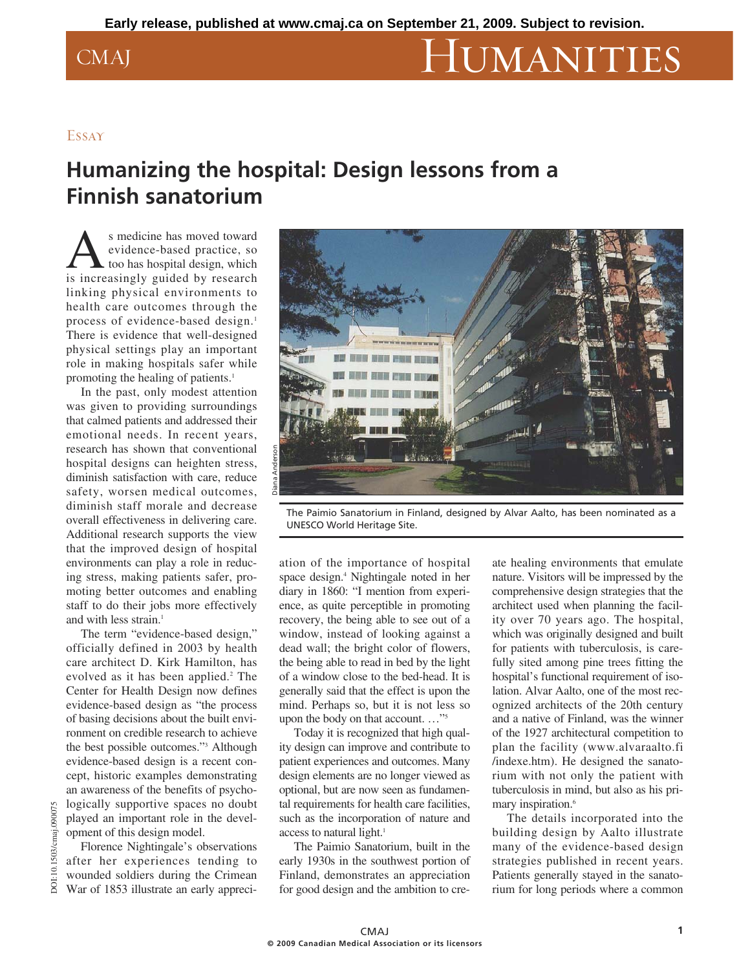# CMAJ HUMANITIES

### Essay

## **Humanizing the hospital: Design lessons from a Finnish sanatorium**

As medicine has moved toward<br>
evidence-based practice, so<br>
is increasingly guided by research evidence-based practice, so too has hospital design, which linking physical environments to health care outcomes through the process of evidence-based design.<sup>1</sup> There is evidence that well-designed physical settings play an important role in making hospitals safer while promoting the healing of patients.<sup>1</sup>

In the past, only modest attention was given to providing surroundings that calmed patients and addressed their emotional needs. In recent years, research has shown that conventional hospital designs can heighten stress, diminish satisfaction with care, reduce safety, worsen medical outcomes, diminish staff morale and decrease overall effectiveness in delivering care. Additional research supports the view that the improved design of hospital environments can play a role in reducing stress, making patients safer, promoting better outcomes and enabling staff to do their jobs more effectively and with less strain.<sup>1</sup>

The term "evidence-based design," officially defined in 2003 by health care architect D. Kirk Hamilton, has evolved as it has been applied.<sup>2</sup> The Center for Health Design now defines evidence-based design as "the process of basing decisions about the built environment on credible research to achieve the best possible outcomes."3 Although evidence-based design is a recent concept, historic examples demonstrating an awareness of the benefits of psychologically supportive spaces no doubt played an important role in the development of this design model.

Florence Nightingale's observations after her experiences tending to wounded soldiers during the Crimean  $\overline{6}$  War of 1853 illustrate an early appreci-

DOI:10.1503/cmaj.090075

:10.1503/cmaj.090075



The Paimio Sanatorium in Finland, designed by Alvar Aalto, has been nominated as a UNESCO World Heritage Site.

ation of the importance of hospital space design.4 Nightingale noted in her diary in 1860: "I mention from experience, as quite perceptible in promoting recovery, the being able to see out of a window, instead of looking against a dead wall; the bright color of flowers, the being able to read in bed by the light of a window close to the bed-head. It is generally said that the effect is upon the mind. Perhaps so, but it is not less so upon the body on that account. …"5

Today it is recognized that high quality design can improve and contribute to patient experiences and outcomes. Many design elements are no longer viewed as optional, but are now seen as fundamental requirements for health care facilities, such as the incorporation of nature and access to natural light.<sup>1</sup>

The Paimio Sanatorium, built in the early 1930s in the southwest portion of Finland, demonstrates an appreciation for good design and the ambition to cre-

ate healing environments that emulate nature. Visitors will be impressed by the comprehensive design strategies that the architect used when planning the facility over 70 years ago. The hospital, which was originally designed and built for patients with tuberculosis, is carefully sited among pine trees fitting the hospital's functional requirement of isolation. Alvar Aalto, one of the most recognized architects of the 20th century and a native of Finland, was the winner of the 1927 architectural competition to plan the facility (www.alvaraalto.fi /indexe .htm). He designed the sanatorium with not only the patient with tuberculosis in mind, but also as his primary inspiration.<sup>6</sup>

The details incorporated into the building design by Aalto illustrate many of the evidence-based design strategies published in recent years. Patients generally stayed in the sanatorium for long periods where a common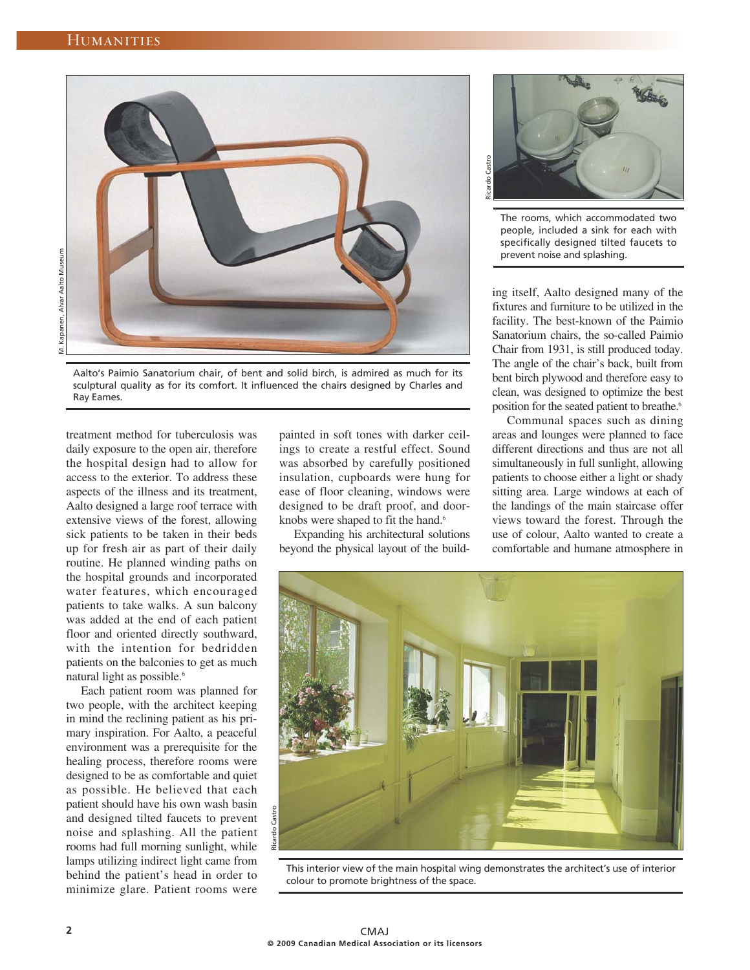

Aalto's Paimio Sanatorium chair, of bent and solid birch, is admired as much for its sculptural quality as for its comfort. It influenced the chairs designed by Charles and Ray Eames.

treatment method for tuberculosis was daily exposure to the open air, therefore the hospital design had to allow for access to the exterior. To address these aspects of the illness and its treatment, Aalto designed a large roof terrace with extensive views of the forest, allowing sick patients to be taken in their beds up for fresh air as part of their daily routine. He planned winding paths on the hospital grounds and incorporated water features, which encouraged patients to take walks. A sun balcony was added at the end of each patient floor and oriented directly southward, with the intention for bedridden patients on the balconies to get as much natural light as possible.<sup>6</sup>

Each patient room was planned for two people, with the architect keeping in mind the reclining patient as his primary inspiration. For Aalto, a peaceful environment was a prerequisite for the healing process, therefore rooms were designed to be as comfortable and quiet as possible. He believed that each patient should have his own wash basin and designed tilted faucets to prevent noise and splashing. All the patient rooms had full morning sunlight, while lamps utilizing indirect light came from behind the patient's head in order to minimize glare. Patient rooms were

painted in soft tones with darker ceilings to create a restful effect. Sound was absorbed by carefully positioned insulation, cupboards were hung for ease of floor cleaning, windows were designed to be draft proof, and doorknobs were shaped to fit the hand.<sup>6</sup>

Expanding his architectural solutions beyond the physical layout of the build-



The rooms, which accommodated two people, included a sink for each with specifically designed tilted faucets to prevent noise and splashing.

ing itself, Aalto designed many of the fixtures and furniture to be utilized in the facility. The best-known of the Paimio Sanatorium chairs, the so-called Paimio Chair from 1931, is still produced today. The angle of the chair's back, built from bent birch plywood and therefore easy to clean, was designed to optimize the best position for the seated patient to breathe.<sup>6</sup>

Communal spaces such as dining areas and lounges were planned to face different directions and thus are not all simultaneously in full sunlight, allowing patients to choose either a light or shady sitting area. Large windows at each of the landings of the main staircase offer views toward the forest. Through the use of colour, Aalto wanted to create a comfortable and humane atmosphere in



This interior view of the main hospital wing demonstrates the architect's use of interior colour to promote brightness of the space.